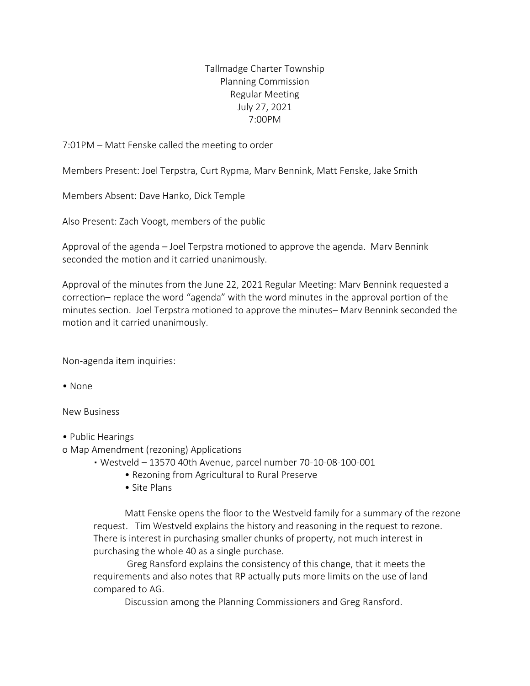## Tallmadge Charter Township Planning Commission Regular Meeting July 27, 2021 7:00PM

7:01PM – Matt Fenske called the meeting to order

Members Present: Joel Terpstra, Curt Rypma, Marv Bennink, Matt Fenske, Jake Smith

Members Absent: Dave Hanko, Dick Temple

Also Present: Zach Voogt, members of the public

Approval of the agenda – Joel Terpstra motioned to approve the agenda. Marv Bennink seconded the motion and it carried unanimously.

Approval of the minutes from the June 22, 2021 Regular Meeting: Marv Bennink requested a correction– replace the word "agenda" with the word minutes in the approval portion of the minutes section. Joel Terpstra motioned to approve the minutes– Marv Bennink seconded the motion and it carried unanimously.

Non-agenda item inquiries:

• None

New Business

- Public Hearings
- o Map Amendment (rezoning) Applications
	- Westveld 13570 40th Avenue, parcel number 70-10-08-100-001
		- Rezoning from Agricultural to Rural Preserve
		- Site Plans

Matt Fenske opens the floor to the Westveld family for a summary of the rezone request. Tim Westveld explains the history and reasoning in the request to rezone. There is interest in purchasing smaller chunks of property, not much interest in purchasing the whole 40 as a single purchase.

Greg Ransford explains the consistency of this change, that it meets the requirements and also notes that RP actually puts more limits on the use of land compared to AG.

Discussion among the Planning Commissioners and Greg Ransford.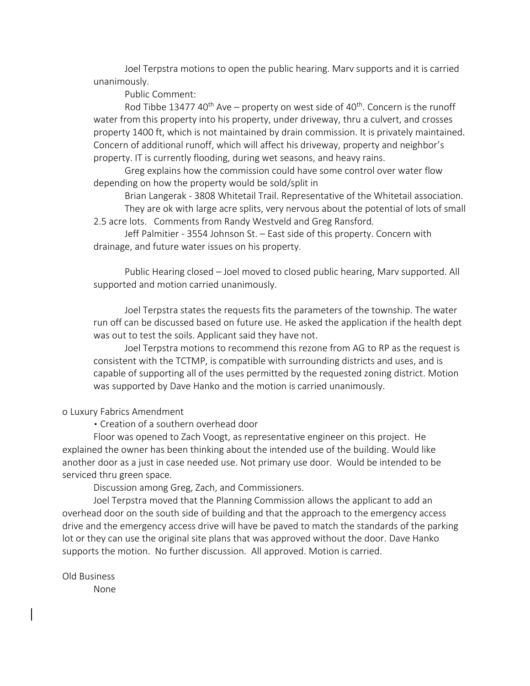Joel Terpstra motions to open the public hearing. Marv supports and it is carried unanimously.

Public Comment:

Rod Tibbe 13477 40<sup>th</sup> Ave – property on west side of 40<sup>th</sup>. Concern is the runoff water from this property into his property, under driveway, thru a culvert, and crosses property 1400 ft, which is not maintained by drain commission. It is privately maintained. Concern of additional runoff, which will affect his driveway, property and neighbor's property. IT is currently flooding, during wet seasons, and heavy rains.

Greg explains how the commission could have some control over water flow depending on how the property would be sold/split in

Brian Langerak - 3808 Whitetail Trail. Representative of the Whitetail association. They are ok with large acre splits, very nervous about the potential of lots of small

2.5 acre lots. Comments from Randy Westveld and Greg Ransford.

Jeff Palmitier - 3554 Johnson St. – East side of this property. Concern with drainage, and future water issues on his property.

Public Hearing closed – Joel moved to closed public hearing, Marv supported. All supported and motion carried unanimously.

Joel Terpstra states the requests fits the parameters of the township. The water run off can be discussed based on future use. He asked the application if the health dept was out to test the soils. Applicant said they have not.

Joel Terpstra motions to recommend this rezone from AG to RP as the request is consistent with the TCTMP, is compatible with surrounding districts and uses, and is capable of supporting all of the uses permitted by the requested zoning district. Motion was supported by Dave Hanko and the motion is carried unanimously.

## o Luxury Fabrics Amendment

▪ Creation of a southern overhead door

Floor was opened to Zach Voogt, as representative engineer on this project. He explained the owner has been thinking about the intended use of the building. Would like another door as a just in case needed use. Not primary use door. Would be intended to be serviced thru green space.

Discussion among Greg, Zach, and Commissioners.

Joel Terpstra moved that the Planning Commission allows the applicant to add an overhead door on the south side of building and that the approach to the emergency access drive and the emergency access drive will have be paved to match the standards of the parking lot or they can use the original site plans that was approved without the door. Dave Hanko supports the motion. No further discussion. All approved. Motion is carried.

Old Business None